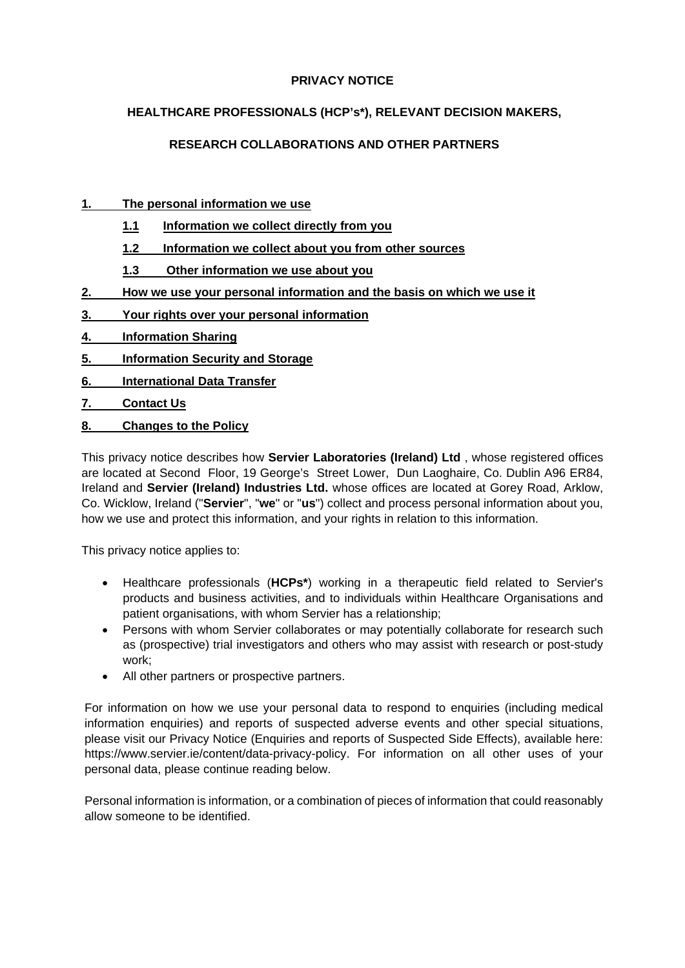## **PRIVACY NOTICE**

## **HEALTHCARE PROFESSIONALS (HCP's\*), RELEVANT DECISION MAKERS,**

# **RESEARCH COLLABORATIONS AND OTHER PARTNERS**

## **1. [The personal information we use](#page-1-0)**

- **1.1 [Information we collect directly from you](#page-1-1)**
- **1.2 [Information we collect about you from other sources](#page-1-2)**
- **1.3 [Other information we use about you](#page-1-3)**
- **2. [How we use your personal information and the basis on which we use it](#page-2-0)**
- **3. [Your rights over your personal information](#page-2-1)**
- **4. [Information Sharing](#page-3-0)**
- **5. [Information Security and Storage](#page-4-0)**
- **6. [International Data Transfer](#page-4-1)**
- **7. [Contact Us](#page-4-2)**
- **8. [Changes to the Policy](#page-5-0)**

This privacy notice describes how **Servier Laboratories (Ireland) Ltd** , whose registered offices are located at Second Floor, 19 George's Street Lower, Dun Laoghaire, Co. Dublin A96 ER84, Ireland and **Servier (Ireland) Industries Ltd.** whose offices are located at Gorey Road, Arklow, Co. Wicklow, Ireland ("**Servier**", "**we**" or "**us**") collect and process personal information about you, how we use and protect this information, and your rights in relation to this information.

This privacy notice applies to:

- Healthcare professionals (**HCPs\***) working in a therapeutic field related to Servier's products and business activities, and to individuals within Healthcare Organisations and patient organisations, with whom Servier has a relationship;
- Persons with whom Servier collaborates or may potentially collaborate for research such as (prospective) trial investigators and others who may assist with research or post-study work;
- All other partners or prospective partners.

For information on how we use your personal data to respond to enquiries (including medical information enquiries) and reports of suspected adverse events and other special situations, please visit our Privacy Notice (Enquiries and reports of Suspected Side Effects), available here: https://www.servier.ie/content/data-privacy-policy. For information on all other uses of your personal data, please continue reading below.

Personal information is information, or a combination of pieces of information that could reasonably allow someone to be identified.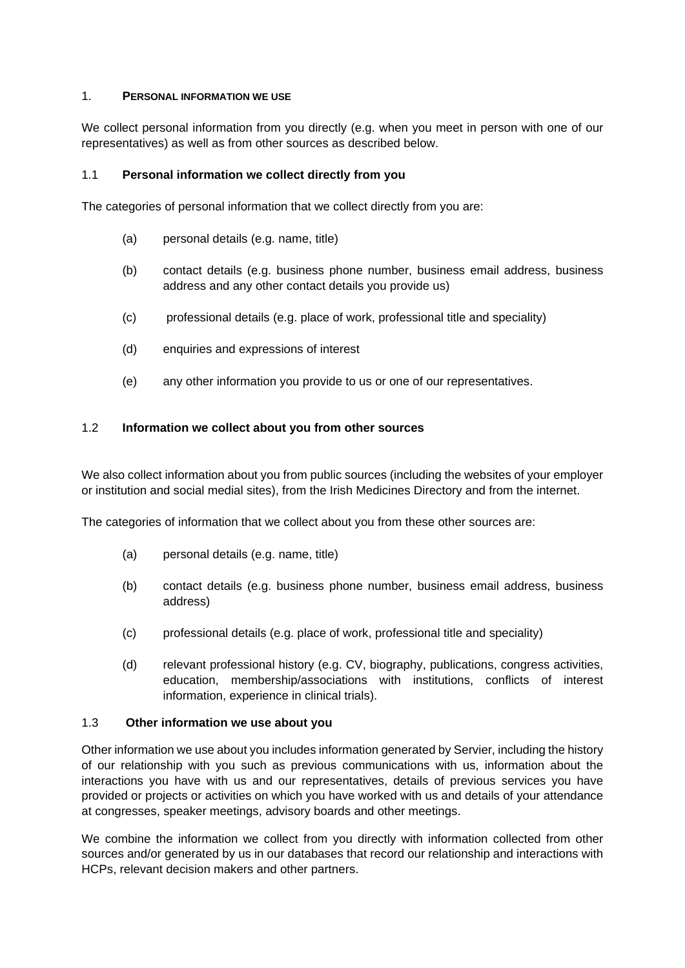#### <span id="page-1-0"></span>1. **PERSONAL INFORMATION WE USE**

We collect personal information from you directly (e.g. when you meet in person with one of our representatives) as well as from other sources as described below.

## <span id="page-1-1"></span>1.1 **Personal information we collect directly from you**

The categories of personal information that we collect directly from you are:

- (a) personal details (e.g. name, title)
- (b) contact details (e.g. business phone number, business email address, business address and any other contact details you provide us)
- (c) professional details (e.g. place of work, professional title and speciality)
- (d) enquiries and expressions of interest
- (e) any other information you provide to us or one of our representatives.

#### <span id="page-1-2"></span>1.2 **Information we collect about you from other sources**

We also collect information about you from public sources (including the websites of your employer or institution and social medial sites), from the Irish Medicines Directory and from the internet.

The categories of information that we collect about you from these other sources are:

- (a) personal details (e.g. name, title)
- (b) contact details (e.g. business phone number, business email address, business address)
- (c) professional details (e.g. place of work, professional title and speciality)
- (d) relevant professional history (e.g. CV, biography, publications, congress activities, education, membership/associations with institutions, conflicts of interest information, experience in clinical trials).

#### <span id="page-1-3"></span>1.3 **Other information we use about you**

Other information we use about you includes information generated by Servier, including the history of our relationship with you such as previous communications with us, information about the interactions you have with us and our representatives, details of previous services you have provided or projects or activities on which you have worked with us and details of your attendance at congresses, speaker meetings, advisory boards and other meetings.

We combine the information we collect from you directly with information collected from other sources and/or generated by us in our databases that record our relationship and interactions with HCPs, relevant decision makers and other partners.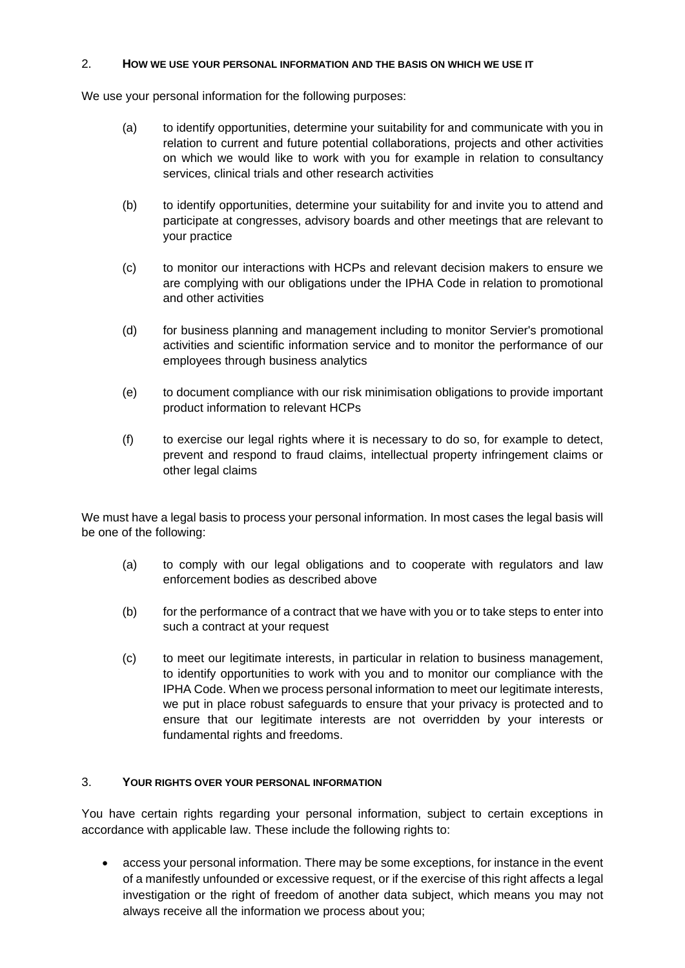#### <span id="page-2-0"></span>2. **HOW WE USE YOUR PERSONAL INFORMATION AND THE BASIS ON WHICH WE USE IT**

We use your personal information for the following purposes:

- (a) to identify opportunities, determine your suitability for and communicate with you in relation to current and future potential collaborations, projects and other activities on which we would like to work with you for example in relation to consultancy services, clinical trials and other research activities
- (b) to identify opportunities, determine your suitability for and invite you to attend and participate at congresses, advisory boards and other meetings that are relevant to your practice
- (c) to monitor our interactions with HCPs and relevant decision makers to ensure we are complying with our obligations under the IPHA Code in relation to promotional and other activities
- (d) for business planning and management including to monitor Servier's promotional activities and scientific information service and to monitor the performance of our employees through business analytics
- (e) to document compliance with our risk minimisation obligations to provide important product information to relevant HCPs
- (f) to exercise our legal rights where it is necessary to do so, for example to detect, prevent and respond to fraud claims, intellectual property infringement claims or other legal claims

We must have a legal basis to process your personal information. In most cases the legal basis will be one of the following:

- (a) to comply with our legal obligations and to cooperate with regulators and law enforcement bodies as described above
- (b) for the performance of a contract that we have with you or to take steps to enter into such a contract at your request
- (c) to meet our legitimate interests, in particular in relation to business management, to identify opportunities to work with you and to monitor our compliance with the IPHA Code. When we process personal information to meet our legitimate interests, we put in place robust safeguards to ensure that your privacy is protected and to ensure that our legitimate interests are not overridden by your interests or fundamental rights and freedoms.

## <span id="page-2-1"></span>3. **YOUR RIGHTS OVER YOUR PERSONAL INFORMATION**

You have certain rights regarding your personal information, subject to certain exceptions in accordance with applicable law. These include the following rights to:

• access your personal information. There may be some exceptions, for instance in the event of a manifestly unfounded or excessive request, or if the exercise of this right affects a legal investigation or the right of freedom of another data subject, which means you may not always receive all the information we process about you;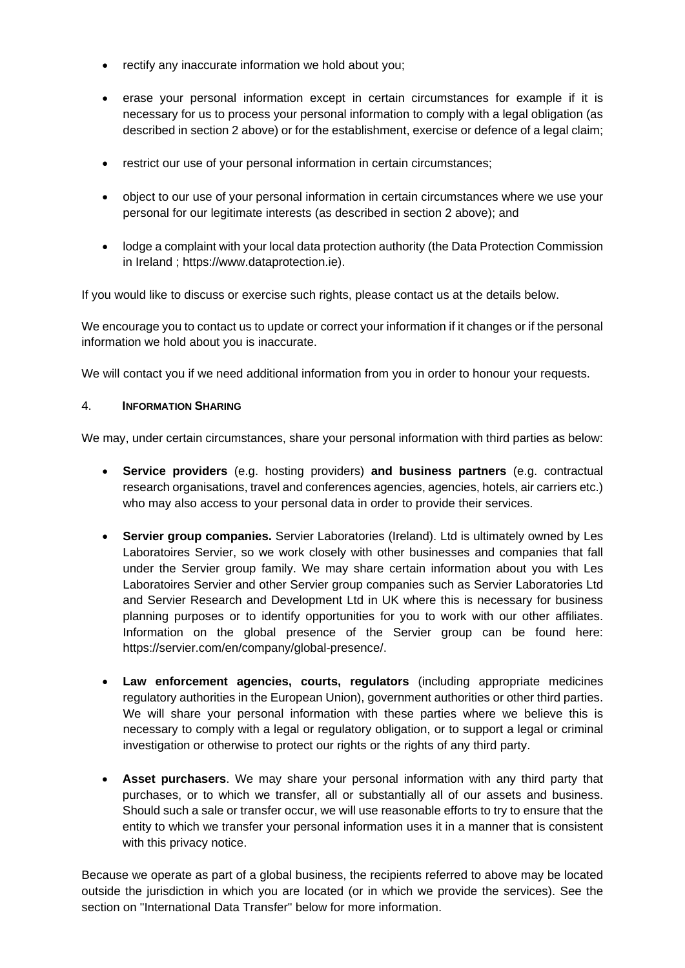- rectify any inaccurate information we hold about you:
- erase your personal information except in certain circumstances for example if it is necessary for us to process your personal information to comply with a legal obligation (as described in section 2 above) or for the establishment, exercise or defence of a legal claim;
- restrict our use of your personal information in certain circumstances;
- object to our use of your personal information in certain circumstances where we use your personal for our legitimate interests (as described in section 2 above); and
- lodge a complaint with your local data protection authority (the Data Protection Commission in Ireland ; https://www.dataprotection.ie).

If you would like to discuss or exercise such rights, please contact us at the details below.

We encourage you to contact us to update or correct your information if it changes or if the personal information we hold about you is inaccurate.

<span id="page-3-0"></span>We will contact you if we need additional information from you in order to honour your requests.

#### 4. **INFORMATION SHARING**

We may, under certain circumstances, share your personal information with third parties as below:

- **Service providers** (e.g. hosting providers) **and business partners** (e.g. contractual research organisations, travel and conferences agencies, agencies, hotels, air carriers etc.) who may also access to your personal data in order to provide their services.
- **Servier group companies.** Servier Laboratories (Ireland). Ltd is ultimately owned by Les Laboratoires Servier, so we work closely with other businesses and companies that fall under the Servier group family. We may share certain information about you with Les Laboratoires Servier and other Servier group companies such as Servier Laboratories Ltd and Servier Research and Development Ltd in UK where this is necessary for business planning purposes or to identify opportunities for you to work with our other affiliates. Information on the global presence of the Servier group can be found here: https://servier.com/en/company/global-presence/.
- **Law enforcement agencies, courts, regulators** (including appropriate medicines regulatory authorities in the European Union), government authorities or other third parties. We will share your personal information with these parties where we believe this is necessary to comply with a legal or regulatory obligation, or to support a legal or criminal investigation or otherwise to protect our rights or the rights of any third party.
- **Asset purchasers**. We may share your personal information with any third party that purchases, or to which we transfer, all or substantially all of our assets and business. Should such a sale or transfer occur, we will use reasonable efforts to try to ensure that the entity to which we transfer your personal information uses it in a manner that is consistent with this privacy notice.

Because we operate as part of a global business, the recipients referred to above may be located outside the jurisdiction in which you are located (or in which we provide the services). See the section on "International Data Transfer" below for more information.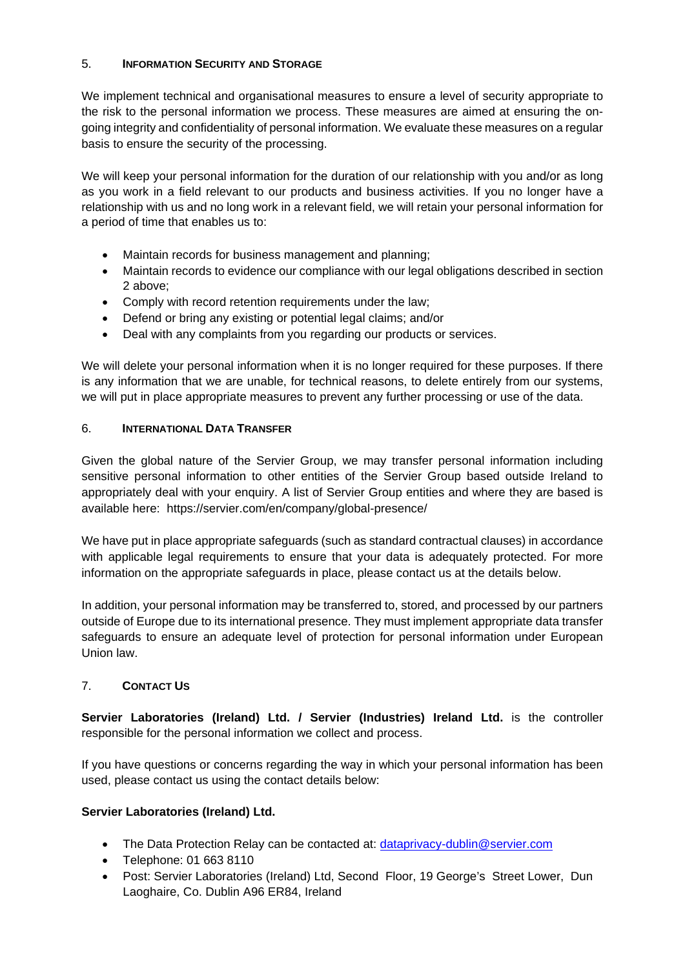## <span id="page-4-0"></span>5. **INFORMATION SECURITY AND STORAGE**

We implement technical and organisational measures to ensure a level of security appropriate to the risk to the personal information we process. These measures are aimed at ensuring the ongoing integrity and confidentiality of personal information. We evaluate these measures on a regular basis to ensure the security of the processing.

We will keep your personal information for the duration of our relationship with you and/or as long as you work in a field relevant to our products and business activities. If you no longer have a relationship with us and no long work in a relevant field, we will retain your personal information for a period of time that enables us to:

- Maintain records for business management and planning;
- Maintain records to evidence our compliance with our legal obligations described in section 2 above;
- Comply with record retention requirements under the law;
- Defend or bring any existing or potential legal claims; and/or
- Deal with any complaints from you regarding our products or services.

We will delete your personal information when it is no longer required for these purposes. If there is any information that we are unable, for technical reasons, to delete entirely from our systems, we will put in place appropriate measures to prevent any further processing or use of the data.

## <span id="page-4-1"></span>6. **INTERNATIONAL DATA TRANSFER**

Given the global nature of the Servier Group, we may transfer personal information including sensitive personal information to other entities of the Servier Group based outside Ireland to appropriately deal with your enquiry. A list of Servier Group entities and where they are based is available here: [https://servier.com/en/company/global-presence/](https://eur01.safelinks.protection.outlook.com/?url=https%3A%2F%2Fservier.com%2Fen%2Fcompany%2Fglobal-presence%2F&data=04%7C01%7CAlex.Ainscough%40servier.com%7C9e836ca1c9cd44e1b87b08d931b47019%7Ccc0a4ff694544e4b881b85f448dee2e3%7C0%7C0%7C637595473302024043%7CUnknown%7CTWFpbGZsb3d8eyJWIjoiMC4wLjAwMDAiLCJQIjoiV2luMzIiLCJBTiI6Ik1haWwiLCJXVCI6Mn0%3D%7C1000&sdata=VARRHbCGK3XB6y1R7nluI74foYPIUcDA3VCdM56v720%3D&reserved=0)

We have put in place appropriate safeguards (such as standard contractual clauses) in accordance with applicable legal requirements to ensure that your data is adequately protected. For more information on the appropriate safeguards in place, please contact us at the details below.

In addition, your personal information may be transferred to, stored, and processed by our partners outside of Europe due to its international presence. They must implement appropriate data transfer safeguards to ensure an adequate level of protection for personal information under European Union law.

## <span id="page-4-2"></span>7. **CONTACT US**

**Servier Laboratories (Ireland) Ltd. / Servier (Industries) Ireland Ltd.** is the controller responsible for the personal information we collect and process.

If you have questions or concerns regarding the way in which your personal information has been used, please contact us using the contact details below:

## **Servier Laboratories (Ireland) Ltd.**

- The Data Protection Relay can be contacted at: dataprivacy-dublin@servier.com
- Telephone: 01 663 8110
- Post: Servier Laboratories (Ireland) Ltd, Second Floor, 19 George's Street Lower, Dun Laoghaire, Co. Dublin A96 ER84, Ireland